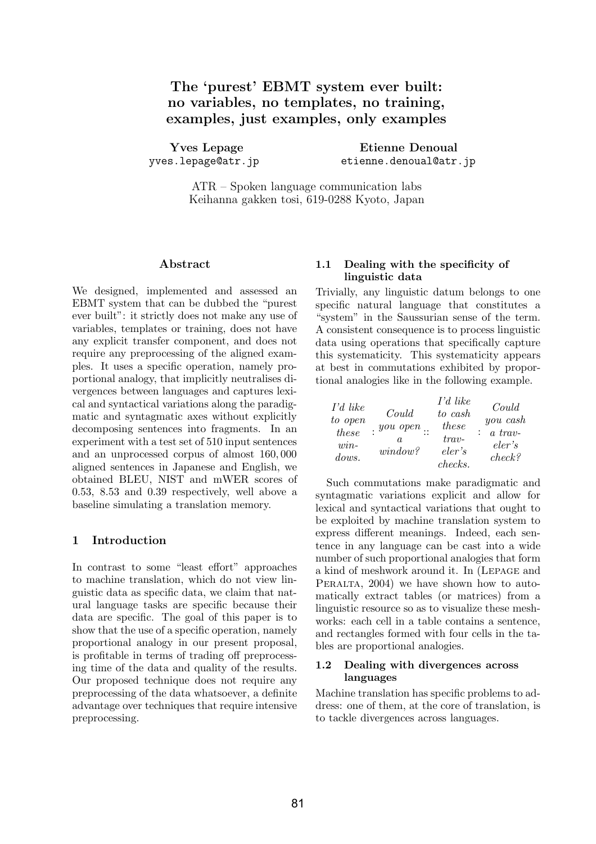# The 'purest' EBMT system ever built: no variables, no templates, no training, examples, just examples, only examples

Yves Lepage yves.lepage@atr.jp

Etienne Denoual etienne.denoual@atr.jp

ATR – Spoken language communication labs Keihanna gakken tosi, 619-0288 Kyoto, Japan

#### Abstract

We designed, implemented and assessed an EBMT system that can be dubbed the "purest ever built": it strictly does not make any use of variables, templates or training, does not have any explicit transfer component, and does not require any preprocessing of the aligned examples. It uses a specific operation, namely proportional analogy, that implicitly neutralises divergences between languages and captures lexical and syntactical variations along the paradigmatic and syntagmatic axes without explicitly decomposing sentences into fragments. In an experiment with a test set of 510 input sentences and an unprocessed corpus of almost 160, 000 aligned sentences in Japanese and English, we obtained BLEU, NIST and mWER scores of 0.53, 8.53 and 0.39 respectively, well above a baseline simulating a translation memory.

#### 1 Introduction

In contrast to some "least effort" approaches to machine translation, which do not view linguistic data as specific data, we claim that natural language tasks are specific because their data are specific. The goal of this paper is to show that the use of a specific operation, namely proportional analogy in our present proposal, is profitable in terms of trading off preprocessing time of the data and quality of the results. Our proposed technique does not require any preprocessing of the data whatsoever, a definite advantage over techniques that require intensive preprocessing.

## 1.1 Dealing with the specificity of linguistic data

Trivially, any linguistic datum belongs to one specific natural language that constitutes a "system" in the Saussurian sense of the term. A consistent consequence is to process linguistic data using operations that specifically capture this systematicity. This systematicity appears at best in commutations exhibited by proportional analogies like in the following example.

| $\Gamma d$ like<br>to open<br>these<br>$win-$<br>dows. | Could<br>. <i>you open</i><br>a.<br>window? | I'd like<br>to cash<br>these<br>$trav-$<br>eler's | Could<br>you cash<br>$a$ trav-<br>eler's<br>check? |
|--------------------------------------------------------|---------------------------------------------|---------------------------------------------------|----------------------------------------------------|
|                                                        |                                             | checks.                                           |                                                    |

Such commutations make paradigmatic and syntagmatic variations explicit and allow for lexical and syntactical variations that ought to be exploited by machine translation system to express different meanings. Indeed, each sentence in any language can be cast into a wide number of such proportional analogies that form a kind of meshwork around it. In (Lepage and PERALTA, 2004) we have shown how to automatically extract tables (or matrices) from a linguistic resource so as to visualize these meshworks: each cell in a table contains a sentence, and rectangles formed with four cells in the tables are proportional analogies.

#### 1.2 Dealing with divergences across languages

Machine translation has specific problems to address: one of them, at the core of translation, is to tackle divergences across languages.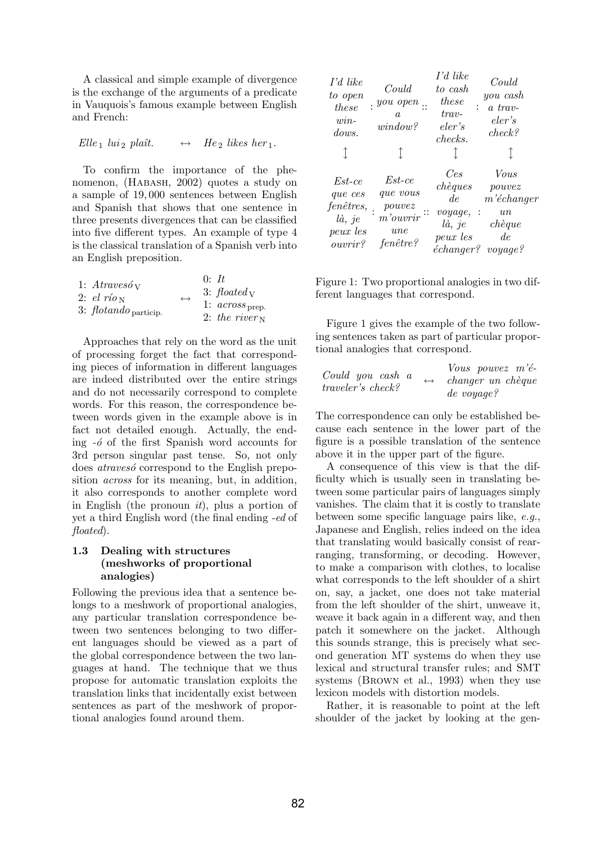A classical and simple example of divergence is the exchange of the arguments of a predicate in Vauquois's famous example between English and French:

$$
Elle1 lui2 plaît. \leftrightarrow He2 likes her1.
$$

To confirm the importance of the phenomenon, (Habash, 2002) quotes a study on a sample of 19, 000 sentences between English and Spanish that shows that one sentence in three presents divergences that can be classified into five different types. An example of type 4 is the classical translation of a Spanish verb into an English preposition.

| 1: $A$ travesó y<br>2: $el\ rioN$   | $\leftrightarrow$ | $0:$ It<br>3: $floated_V$                               |
|-------------------------------------|-------------------|---------------------------------------------------------|
| 3: $flotando$ <sub>particip</sub> . |                   | 1: $across_{\text{prep.}}$<br>2: the river $\mathbf{v}$ |

Approaches that rely on the word as the unit of processing forget the fact that corresponding pieces of information in different languages are indeed distributed over the entire strings and do not necessarily correspond to complete words. For this reason, the correspondence between words given in the example above is in fact not detailed enough. Actually, the ending  $-6$  of the first Spanish word accounts for 3rd person singular past tense. So, not only does *atravesó* correspond to the English preposition across for its meaning, but, in addition, it also corresponds to another complete word in English (the pronoun  $it$ ), plus a portion of yet a third English word (the final ending -ed of floated).

## 1.3 Dealing with structures (meshworks of proportional analogies)

Following the previous idea that a sentence belongs to a meshwork of proportional analogies, any particular translation correspondence between two sentences belonging to two different languages should be viewed as a part of the global correspondence between the two languages at hand. The technique that we thus propose for automatic translation exploits the translation links that incidentally exist between sentences as part of the meshwork of proportional analogies found around them.

| I'd like<br>to open<br>these<br>$win-$<br>dows.<br>Î                               | Could<br>$: you open$ .<br>$\boldsymbol{a}$<br>window?<br>T      | T'd like<br>to cash<br>these<br>$trav-$<br>eler's<br>$checks$ .                   | Could<br>you cash<br>a trav-<br>eler's<br>check?                    |
|------------------------------------------------------------------------------------|------------------------------------------------------------------|-----------------------------------------------------------------------------------|---------------------------------------------------------------------|
| $E$ st-ce<br>que ces<br>fenêtres,<br>$l\dot{a},\ je$<br>peux les<br><i>ouvrir?</i> | $Est-ce$<br>que vous<br>pouvez<br>$m$ 'ouvrir<br>une<br>fenêtre? | Ces<br>chèques<br>de<br>$voyage$ , :<br>$l\grave{a},\ je$<br>peux les<br>échange? | Vous<br>pouvez<br>m'échanger<br>$\imath$<br>chèque<br>de<br>voyage? |

 $\overline{1}$ 

Figure 1: Two proportional analogies in two different languages that correspond.

Figure 1 gives the example of the two following sentences taken as part of particular proportional analogies that correspond.

| Could you cash a<br><i>traveler's check?</i> | $\leftrightarrow$ | Vous pouvez $m'$ é-<br>changer un chèque<br>de voyage? |
|----------------------------------------------|-------------------|--------------------------------------------------------|
|----------------------------------------------|-------------------|--------------------------------------------------------|

The correspondence can only be established because each sentence in the lower part of the figure is a possible translation of the sentence above it in the upper part of the figure.

A consequence of this view is that the difficulty which is usually seen in translating between some particular pairs of languages simply vanishes. The claim that it is costly to translate between some specific language pairs like, e.g., Japanese and English, relies indeed on the idea that translating would basically consist of rearranging, transforming, or decoding. However, to make a comparison with clothes, to localise what corresponds to the left shoulder of a shirt on, say, a jacket, one does not take material from the left shoulder of the shirt, unweave it, weave it back again in a different way, and then patch it somewhere on the jacket. Although this sounds strange, this is precisely what second generation MT systems do when they use lexical and structural transfer rules; and SMT systems (Brown et al., 1993) when they use lexicon models with distortion models.

Rather, it is reasonable to point at the left shoulder of the jacket by looking at the gen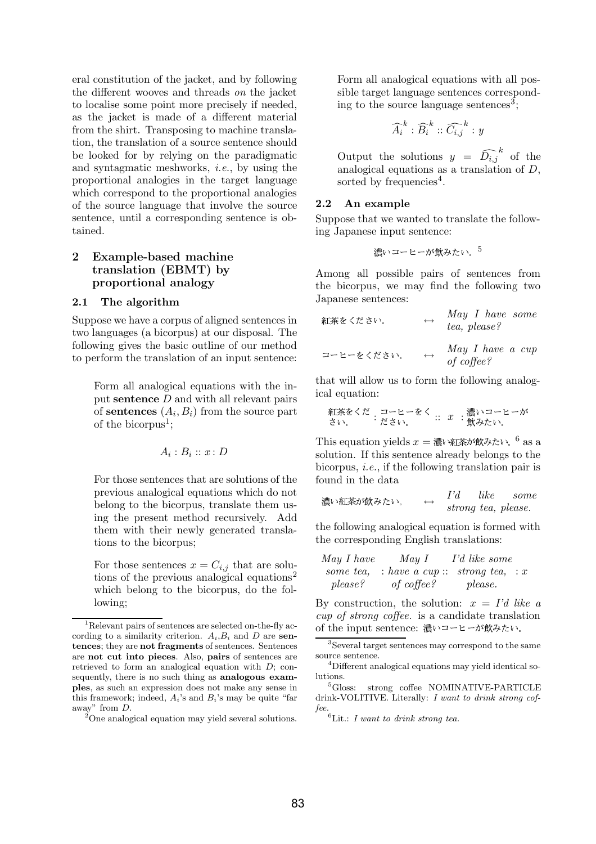eral constitution of the jacket, and by following the different wooves and threads on the jacket to localise some point more precisely if needed, as the jacket is made of a different material from the shirt. Transposing to machine translation, the translation of a source sentence should be looked for by relying on the paradigmatic and syntagmatic meshworks, i.e., by using the proportional analogies in the target language which correspond to the proportional analogies of the source language that involve the source sentence, until a corresponding sentence is obtained.

## 2 Example-based machine translation (EBMT) by proportional analogy

### 2.1 The algorithm

Suppose we have a corpus of aligned sentences in two languages (a bicorpus) at our disposal. The following gives the basic outline of our method to perform the translation of an input sentence:

Form all analogical equations with the input sentence D and with all relevant pairs of **sentences**  $(A_i, B_i)$  from the source part of the bicorpus<sup>1</sup>;

$$
A_i:B_i::x:D
$$

For those sentences that are solutions of the previous analogical equations which do not belong to the bicorpus, translate them using the present method recursively. Add them with their newly generated translations to the bicorpus;

For those sentences  $x = C_{i,j}$  that are solutions of the previous analogical equations<sup>2</sup> which belong to the bicorpus, do the following;

Form all analogical equations with all possible target language sentences corresponding to the source language sentences<sup>3</sup>;

$$
\widehat{A_i}^k : \widehat{B_i}^k :: \widehat{C_{i,j}}^k : y
$$

Output the solutions  $y = \widehat{D_{i,j}}^k$  of the analogical equations as a translation of  $D$ , sorted by frequencies<sup>4</sup>.

#### 2.2 An example

Suppose that we wanted to translate the following Japanese input sentence:

- -5

Among all possible pairs of sentences from the bicorpus, we may find the following two Japanese sentences:

$$
\begin{array}{lcl}\n\text{max}\{\mathbf{z} \in \mathcal{K} \text{ s.t. }, & \mathbf{z} \in \mathcal{K} \text{ s.t. }, & \mathbf{z} \in \mathcal{K} \text{ s.t. }, & \mathbf{z} \in \mathcal{K} \text{ s.t. }, & \mathbf{z} \in \mathcal{K} \text{ s.t. }, & \mathbf{z} \in \mathcal{K} \text{ s.t. }, & \mathbf{z} \in \mathcal{K} \text{ s.t. }, & \mathbf{z} \in \mathcal{K} \text{ s.t. }, & \mathbf{z} \in \mathcal{K} \text{ s.t. }, & \mathbf{z} \in \mathcal{K} \text{ s.t. }, & \mathbf{z} \in \mathcal{K} \text{ s.t. }, & \mathbf{z} \in \mathcal{K} \text{ s.t. }, & \mathbf{z} \in \mathcal{K} \text{ s.t. }, & \mathbf{z} \in \mathcal{K} \text{ s.t. } & \mathbf{z} \in \mathcal{K} \text{ s.t. } & \mathbf{z} \in \mathcal{K} \text{ s.t. } & \mathbf{z} \in \mathcal{K} \text{ s.t. } & \mathbf{z} \in \mathcal{K} \text{ s.t. } & \mathbf{z} \in \mathcal{K} \text{ s.t. } & \mathbf{z} \in \mathcal{K} \text{ s.t. } & \mathbf{z} \in \mathcal{K} \text{ s.t. } & \mathbf{z} \in \mathcal{K} \text{ s.t. } & \mathbf{z} \in \mathcal{K} \text{ s.t. } & \mathbf{z} \in \mathcal{K} \text{ s.t. } & \mathbf{z} \in \mathcal{K} \text{ s.t. } & \mathbf{z} \in \mathcal{K} \text{ s.t. } & \mathbf{z} \in \mathcal{K} \text{ s.t. } & \mathbf{z} \in \mathcal{K} \text{ s.t. } & \mathbf{z} \in \mathcal{K} \text{ s.t. } & \mathbf{z} \in \mathcal{K} \text{ s.t. } & \mathbf{z} \in \mathcal{K} \text{ s.t. } & \math
$$

that will allow us to form the following analogical equation:

 ! : " :: x : - -

This equation yields  $x = \mathbb{R}^n$  as  $\mathbb{R}^n$  as a  $\mathbb{R}^n$ solution. If this sentence already belongs to the bicorpus, i.e., if the following translation pair is found in the data

$$
{}^{\sharp\sharp} \vee \text{ 紩} \ddot{*} \wedge^{\sharp} \text{*} \dot{\otimes} \text{*} \vee \text{*} \qquad \leftrightarrow \qquad I'd \qquad like \qquad some \qquad strong \text{ } tea, \text{ } please.
$$

the following analogical equation is formed with the corresponding English translations:

May I have

\nNow I

\nNow I

\nNow I

\nIt is some to show that 
$$
Y
$$
 is a complex number, and  $Y$  is a complex number, and  $Y$  is a complex number, and  $Y$  is a complex number, and  $Y$  is a complex number, and  $Y$  is a complex number, and  $Y$  is a complex number, and  $Y$  is a complex number, and  $Y$  is a complex number, and  $Y$  is a complex number, and  $Y$  is a complex number, and  $Y$  is a complex number, and  $Y$  is a complex number, and  $Y$  is a complex number, and  $Y$  is a complex number, and  $Y$  is a complex number, and  $Y$  is a complex number, and  $Y$  is a complex number, and  $Y$  is a complex number, and  $Y$  is a complex number, and  $Y$  is a complex number, and  $Y$  is a complex number, and  $Y$  is a complex number, and  $Y$  is a complex number, and  $Y$  is a complex number, and  $Y$  is a complex number, and  $Y$  is a complex number, and  $Y$  is a complex number, and  $Y$  is a complex number, and  $Y$  is a complex number, and  $Y$  is a complex number, and  $Y$  is a complex number, and  $Y$  is a complex number, and  $Y$  is a complex number, and  $Y$  is a complex number, and  $Y$  is a complex number, and  $Y$  is a complex number, and  $Y$  is a complex number, and  $Y$  is a complex number, and  $Y$  is a complex number, and  $Y$  is a complex number, and  $Y$  is a complex number, and  $Y$  is a complex number, and  $Y$  is a complex number, and  $Y$  is a complex number, and  $Y$  is a complex number, and  $Y$  is a complex number, and  $Y$  is a complex number, and  $Y$  is a complex number, and  $Y$  is a complex number, and  $Y$  is a complex number, and  $Y$  is a complex number, and  $Y$  is a complex number, and  $Y$  is a complex number, and  $Y$  is a complex number, and  $Y$  is a

By construction, the solution:  $x = I'd$  like a cup of strong coffee. is a candidate translation of the input sentence: 濃いコーヒーが飲みたい。

<sup>&</sup>lt;sup>1</sup>Relevant pairs of sentences are selected on-the-fly according to a similarity criterion.  $A_i, B_i$  and D are sentences; they are not fragments of sentences. Sentences are not cut into pieces. Also, pairs of sentences are retrieved to form an analogical equation with  $D$ ; consequently, there is no such thing as analogous examples, as such an expression does not make any sense in this framework; indeed,  $A_i$ 's and  $B_i$ 's may be quite "far away" from D.

<sup>&</sup>lt;sup>2</sup>One analogical equation may yield several solutions.

<sup>3</sup>Several target sentences may correspond to the same source sentence.

<sup>4</sup>Different analogical equations may yield identical solutions.

<sup>&</sup>lt;sup>5</sup>Gloss: strong coffee NOMINATIVE-PARTICLE drink-VOLITIVE. Literally: I want to drink strong coffee.

 ${}^{6}$ Lit.: I want to drink strong tea.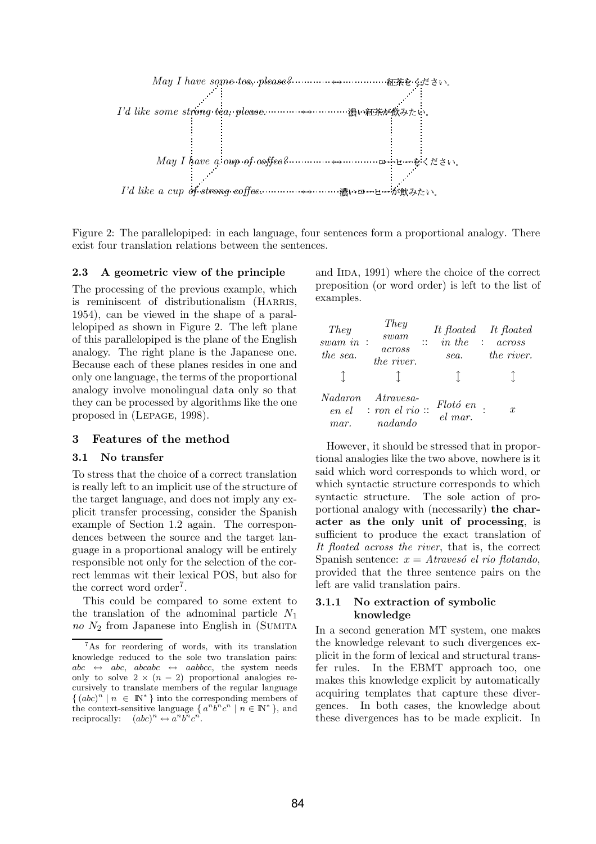

Figure 2: The parallelopiped: in each language, four sentences form a proportional analogy. There exist four translation relations between the sentences.

#### 2.3 A geometric view of the principle

The processing of the previous example, which is reminiscent of distributionalism (HARRIS, 1954), can be viewed in the shape of a parallelopiped as shown in Figure 2. The left plane of this parallelopiped is the plane of the English analogy. The right plane is the Japanese one. Because each of these planes resides in one and only one language, the terms of the proportional analogy involve monolingual data only so that they can be processed by algorithms like the one proposed in (Lepage, 1998).

#### 3 Features of the method

#### 3.1 No transfer

To stress that the choice of a correct translation is really left to an implicit use of the structure of the target language, and does not imply any explicit transfer processing, consider the Spanish example of Section 1.2 again. The correspondences between the source and the target language in a proportional analogy will be entirely responsible not only for the selection of the correct lemmas wit their lexical POS, but also for the correct word order<sup>7</sup>.

This could be compared to some extent to the translation of the adnominal particle  $N_1$ no  $N_2$  from Japanese into English in (SUMITA

and IIDA, 1991) where the choice of the correct preposition (or word order) is left to the list of examples.

| They<br>swam in:<br>the sea. | They<br>swam<br>$\mathbb{R}^{\bullet}$<br>across<br>the river. | in the<br>$\sim 10^7$<br>sea. | It floated It floated<br>across<br>the river. |
|------------------------------|----------------------------------------------------------------|-------------------------------|-----------------------------------------------|
| <i>Nadaron</i><br>mar.       | $A$ travesa-<br>$en$ el : ron el rio ::<br>nadando             | $Flotó en$ .<br>el mar.       | $\mathcal{X}$                                 |

However, it should be stressed that in proportional analogies like the two above, nowhere is it said which word corresponds to which word, or which syntactic structure corresponds to which syntactic structure. The sole action of proportional analogy with (necessarily) the character as the only unit of processing, is sufficient to produce the exact translation of It floated across the river, that is, the correct Spanish sentence:  $x = Atraves'$  el rio flotando, provided that the three sentence pairs on the left are valid translation pairs.

## 3.1.1 No extraction of symbolic knowledge

In a second generation MT system, one makes the knowledge relevant to such divergences explicit in the form of lexical and structural transfer rules. In the EBMT approach too, one makes this knowledge explicit by automatically acquiring templates that capture these divergences. In both cases, the knowledge about these divergences has to be made explicit. In

<sup>&</sup>lt;sup>7</sup>As for reordering of words, with its translation knowledge reduced to the sole two translation pairs:  $abc \leftrightarrow abc$ ,  $abcabc \leftrightarrow aabbcc$ , the system needs only to solve  $2 \times (n-2)$  proportional analogies recursively to translate members of the regular language  $\{(abc)^n \mid n \in \mathbb{N}^*\}$  into the corresponding members of the context-sensitive language  $\{a^nb^nc^n \mid n \in \mathbb{N}^*\}$ , and reciprocally:  $(abc)^n \leftrightarrow a^n b^n c^n$ .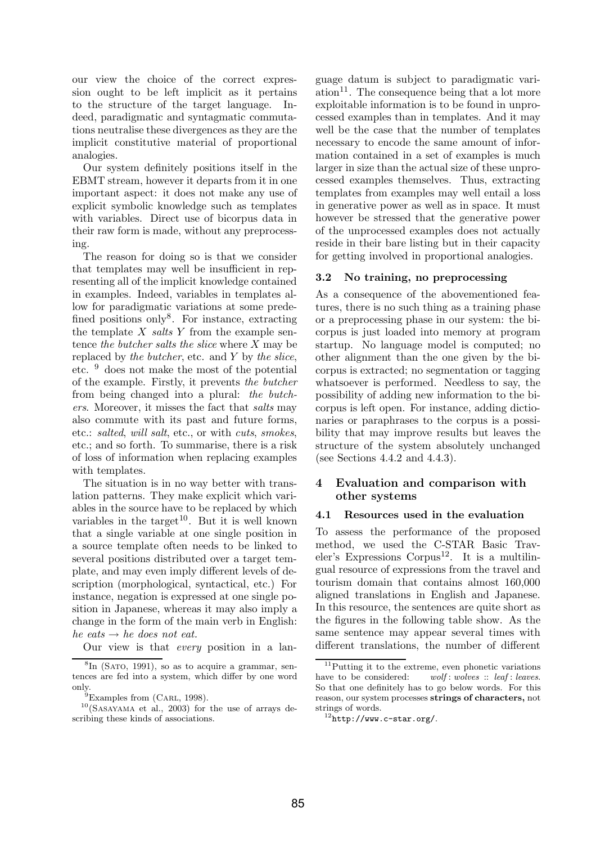our view the choice of the correct expression ought to be left implicit as it pertains to the structure of the target language. Indeed, paradigmatic and syntagmatic commutations neutralise these divergences as they are the implicit constitutive material of proportional analogies.

Our system definitely positions itself in the EBMT stream, however it departs from it in one important aspect: it does not make any use of explicit symbolic knowledge such as templates with variables. Direct use of bicorpus data in their raw form is made, without any preprocessing.

The reason for doing so is that we consider that templates may well be insufficient in representing all of the implicit knowledge contained in examples. Indeed, variables in templates allow for paradigmatic variations at some predefined positions only<sup>8</sup>. For instance, extracting the template  $X$  salts  $Y$  from the example sentence the butcher salts the slice where  $X$  may be replaced by the butcher, etc. and  $Y$  by the slice, etc. <sup>9</sup> does not make the most of the potential of the example. Firstly, it prevents the butcher from being changed into a plural: the butchers. Moreover, it misses the fact that salts may also commute with its past and future forms, etc.: salted, will salt, etc., or with cuts, smokes, etc.; and so forth. To summarise, there is a risk of loss of information when replacing examples with templates.

The situation is in no way better with translation patterns. They make explicit which variables in the source have to be replaced by which variables in the target<sup>10</sup>. But it is well known that a single variable at one single position in a source template often needs to be linked to several positions distributed over a target template, and may even imply different levels of description (morphological, syntactical, etc.) For instance, negation is expressed at one single position in Japanese, whereas it may also imply a change in the form of the main verb in English: he eats  $\rightarrow$  he does not eat.

Our view is that every position in a lan-

guage datum is subject to paradigmatic variation<sup>11</sup>. The consequence being that a lot more exploitable information is to be found in unprocessed examples than in templates. And it may well be the case that the number of templates necessary to encode the same amount of information contained in a set of examples is much larger in size than the actual size of these unprocessed examples themselves. Thus, extracting templates from examples may well entail a loss in generative power as well as in space. It must however be stressed that the generative power of the unprocessed examples does not actually reside in their bare listing but in their capacity for getting involved in proportional analogies.

### 3.2 No training, no preprocessing

As a consequence of the abovementioned features, there is no such thing as a training phase or a preprocessing phase in our system: the bicorpus is just loaded into memory at program startup. No language model is computed; no other alignment than the one given by the bicorpus is extracted; no segmentation or tagging whatsoever is performed. Needless to say, the possibility of adding new information to the bicorpus is left open. For instance, adding dictionaries or paraphrases to the corpus is a possibility that may improve results but leaves the structure of the system absolutely unchanged (see Sections  $4.4.2$  and  $4.4.3$ ).

## 4 Evaluation and comparison with other systems

## 4.1 Resources used in the evaluation

To assess the performance of the proposed method, we used the C-STAR Basic Trav $eler's$  Expressions Corpus<sup>12</sup>. It is a multilingual resource of expressions from the travel and tourism domain that contains almost 160,000 aligned translations in English and Japanese. In this resource, the sentences are quite short as the figures in the following table show. As the same sentence may appear several times with different translations, the number of different

<sup>&</sup>lt;sup>8</sup>In (SATO, 1991), so as to acquire a grammar, sentences are fed into a system, which differ by one word

only.<br><sup>9</sup>Examples from (CARL, 1998).

 $10(SASAYAMA$  et al., 2003) for the use of arrays describing these kinds of associations.

 $11$ Putting it to the extreme, even phonetic variations have to be considered: wolf: wolves :: leaf: leaves. So that one definitely has to go below words. For this reason, our system processes strings of characters, not strings of words.

 $12$ http://www.c-star.org/.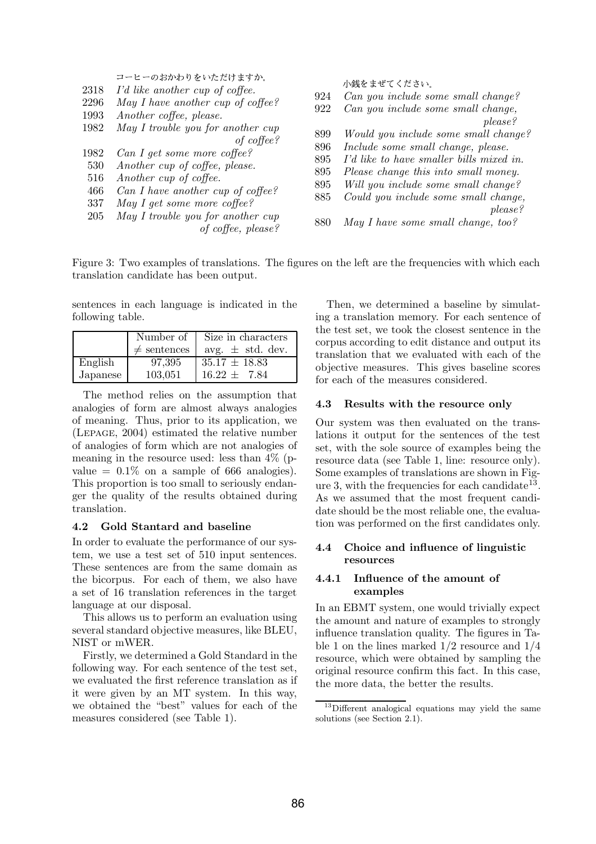| 2318<br>2296<br>1993<br>1982<br>1982<br>530<br>516<br>466<br>337<br>205 | コーヒーのおかわりをいただけますか。<br>I'd like another cup of coffee.<br>May I have another cup of coffee?<br>Another coffee, please.<br>May I trouble you for another cup<br>of $cofree?$<br>Can I get some more coffee?<br>Another cup of coffee, please.<br>Another cup of coffee.<br>Can I have another cup of coffee?<br>May I get some more coffee?<br>May I trouble you for another cup<br>of coffee, please? | 924<br>922<br>899<br>896<br>895<br>895<br>895<br>885<br>880 | 小銭をまぜてください。<br>Can you include some small change?<br>Can you include some small change,<br>please?<br>Would you include some small change?<br>Include some small change, please.<br>I'd like to have smaller bills mixed in.<br>Please change this into small money.<br>Will you include some small change?<br>Could you include some small change,<br>please?<br>May I have some small change, too? |
|-------------------------------------------------------------------------|------------------------------------------------------------------------------------------------------------------------------------------------------------------------------------------------------------------------------------------------------------------------------------------------------------------------------------------------------------------------------------------------------|-------------------------------------------------------------|------------------------------------------------------------------------------------------------------------------------------------------------------------------------------------------------------------------------------------------------------------------------------------------------------------------------------------------------------------------------------------------------------|
|                                                                         |                                                                                                                                                                                                                                                                                                                                                                                                      |                                                             |                                                                                                                                                                                                                                                                                                                                                                                                      |

Figure 3: Two examples of translations. The figures on the left are the frequencies with which each translation candidate has been output.

sentences in each language is indicated in the following table.

|          | Number of        | Size in characters   |
|----------|------------------|----------------------|
|          | $\neq$ sentences | avg. $\pm$ std. dev. |
| English  | 97,395           | $35.17 \pm 18.83$    |
| Japanese | 103,051          | $16.22 \pm 7.84$     |

The method relies on the assumption that analogies of form are almost always analogies of meaning. Thus, prior to its application, we (Lepage, 2004) estimated the relative number of analogies of form which are not analogies of meaning in the resource used: less than 4% (pvalue  $= 0.1\%$  on a sample of 666 analogies). This proportion is too small to seriously endanger the quality of the results obtained during translation.

## 4.2 Gold Stantard and baseline

In order to evaluate the performance of our system, we use a test set of 510 input sentences. These sentences are from the same domain as the bicorpus. For each of them, we also have a set of 16 translation references in the target language at our disposal.

This allows us to perform an evaluation using several standard objective measures, like BLEU, NIST or mWER.

Firstly, we determined a Gold Standard in the following way. For each sentence of the test set, we evaluated the first reference translation as if it were given by an MT system. In this way, we obtained the "best" values for each of the measures considered (see Table 1).

Then, we determined a baseline by simulating a translation memory. For each sentence of the test set, we took the closest sentence in the corpus according to edit distance and output its translation that we evaluated with each of the objective measures. This gives baseline scores for each of the measures considered.

#### 4.3 Results with the resource only

Our system was then evaluated on the translations it output for the sentences of the test set, with the sole source of examples being the resource data (see Table 1, line: resource only). Some examples of translations are shown in Figure 3, with the frequencies for each candidate  $13$ . As we assumed that the most frequent candidate should be the most reliable one, the evaluation was performed on the first candidates only.

### 4.4 Choice and influence of linguistic resources

### 4.4.1 Influence of the amount of examples

In an EBMT system, one would trivially expect the amount and nature of examples to strongly influence translation quality. The figures in Table 1 on the lines marked 1/2 resource and 1/4 resource, which were obtained by sampling the original resource confirm this fact. In this case, the more data, the better the results.

<sup>13</sup>Different analogical equations may yield the same solutions (see Section 2.1).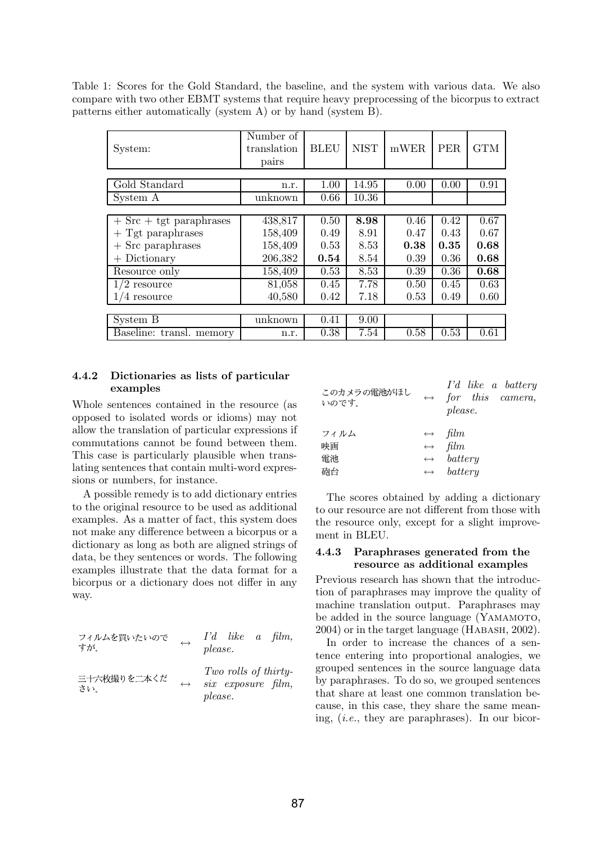Table 1: Scores for the Gold Standard, the baseline, and the system with various data. We also compare with two other EBMT systems that require heavy preprocessing of the bicorpus to extract patterns either automatically (system A) or by hand (system B).

| System:                     | Number of<br>translation<br>pairs | <b>BLEU</b> | <b>NIST</b> | mWER | <b>PER</b> | <b>GTM</b> |
|-----------------------------|-----------------------------------|-------------|-------------|------|------------|------------|
|                             |                                   |             |             |      |            |            |
| Gold Standard               | n.r.                              | 1.00        | 14.95       | 0.00 | 0.00       | 0.91       |
| System A                    | unknown                           | 0.66        | 10.36       |      |            |            |
|                             |                                   |             |             |      |            |            |
| $+$ Src $+$ tgt paraphrases | 438,817                           | 0.50        | 8.98        | 0.46 | 0.42       | 0.67       |
| $+$ Tgt paraphrases         | 158,409                           | 0.49        | 8.91        | 0.47 | 0.43       | 0.67       |
| Src paraphrases             | 158,409                           | 0.53        | 8.53        | 0.38 | 0.35       | 0.68       |
| Dictionary<br>$^{+}$        | 206,382                           | 0.54        | 8.54        | 0.39 | 0.36       | 0.68       |
| Resource only               | 158,409                           | 0.53        | 8.53        | 0.39 | 0.36       | 0.68       |
| $1/2$ resource              | 81,058                            | 0.45        | 7.78        | 0.50 | 0.45       | 0.63       |
| $1/4$ resource              | 40,580                            | 0.42        | 7.18        | 0.53 | 0.49       | 0.60       |
|                             |                                   |             |             |      |            |            |
| System B                    | unknown                           | 0.41        | 9.00        |      |            |            |
| Baseline: transl.<br>memory | n.r.                              | 0.38        | 7.54        | 0.58 | 0.53       | 0.61       |

## 4.4.2 Dictionaries as lists of particular examples

Whole sentences contained in the resource (as opposed to isolated words or idioms) may not allow the translation of particular expressions if commutations cannot be found between them. This case is particularly plausible when translating sentences that contain multi-word expressions or numbers, for instance.

A possible remedy is to add dictionary entries to the original resource to be used as additional examples. As a matter of fact, this system does not make any difference between a bicorpus or a dictionary as long as both are aligned strings of data, be they sentences or words. The following examples illustrate that the data format for a bicorpus or a dictionary does not differ in any way.

| フィルムを買いたいので<br>すが。 | $\leftrightarrow$ | $I'd$ like a film,<br>please.                         |
|--------------------|-------------------|-------------------------------------------------------|
| 三十六枚撮りを二本くだ<br>さい。 | $\leftrightarrow$ | Two rolls of thirty-<br>six exposure film,<br>please. |

| このカメラの電池がほし<br>いのです。 | I'd like a battery<br>$\leftrightarrow$ for this camera,<br>please. |
|----------------------|---------------------------------------------------------------------|
| フィルム                 | $\leftrightarrow$ film                                              |
| 映画                   | $\leftrightarrow$ film                                              |
| 雷池                   | $\leftrightarrow$ battery                                           |
| 砲台                   | $\leftrightarrow$ battery                                           |

The scores obtained by adding a dictionary to our resource are not different from those with the resource only, except for a slight improvement in BLEU.

## 4.4.3 Paraphrases generated from the resource as additional examples

Previous research has shown that the introduction of paraphrases may improve the quality of machine translation output. Paraphrases may be added in the source language (YAMAMOTO, 2004) or in the target language (Habash, 2002).

In order to increase the chances of a sentence entering into proportional analogies, we grouped sentences in the source language data by paraphrases. To do so, we grouped sentences that share at least one common translation because, in this case, they share the same meaning, (i.e., they are paraphrases). In our bicor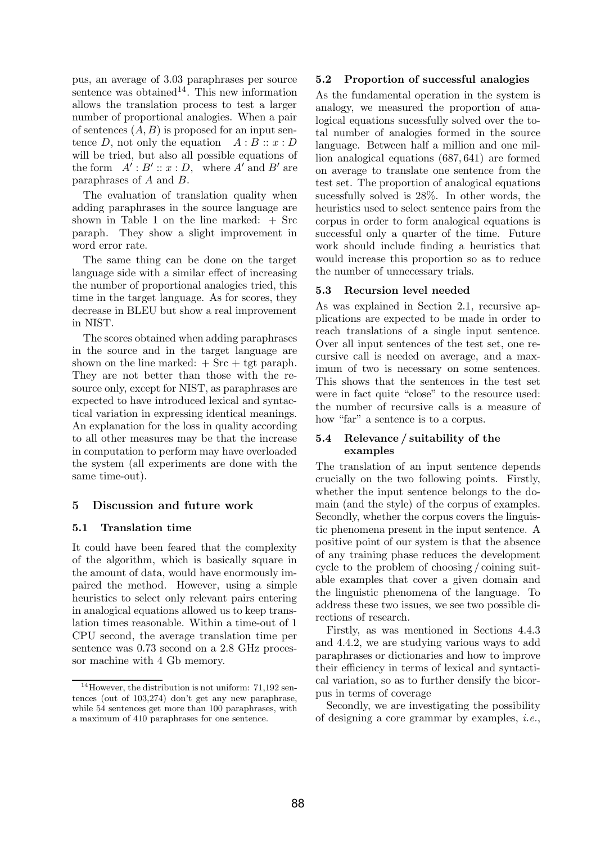pus, an average of 3.03 paraphrases per source sentence was obtained<sup>14</sup>. This new information allows the translation process to test a larger number of proportional analogies. When a pair of sentences  $(A, B)$  is proposed for an input sentence D, not only the equation  $A : B :: x : D$ will be tried, but also all possible equations of the form  $A' : B' :: x : D$ , where  $A'$  and  $B'$  are paraphrases of A and B.

The evaluation of translation quality when adding paraphrases in the source language are shown in Table 1 on the line marked:  $+$  Src paraph. They show a slight improvement in word error rate.

The same thing can be done on the target language side with a similar effect of increasing the number of proportional analogies tried, this time in the target language. As for scores, they decrease in BLEU but show a real improvement in NIST.

The scores obtained when adding paraphrases in the source and in the target language are shown on the line marked:  $+$  Src  $+$  tgt paraph. They are not better than those with the resource only, except for NIST, as paraphrases are expected to have introduced lexical and syntactical variation in expressing identical meanings. An explanation for the loss in quality according to all other measures may be that the increase in computation to perform may have overloaded the system (all experiments are done with the same time-out).

## 5 Discussion and future work

## 5.1 Translation time

It could have been feared that the complexity of the algorithm, which is basically square in the amount of data, would have enormously impaired the method. However, using a simple heuristics to select only relevant pairs entering in analogical equations allowed us to keep translation times reasonable. Within a time-out of 1 CPU second, the average translation time per sentence was 0.73 second on a 2.8 GHz processor machine with 4 Gb memory.

#### 5.2 Proportion of successful analogies

As the fundamental operation in the system is analogy, we measured the proportion of analogical equations sucessfully solved over the total number of analogies formed in the source language. Between half a million and one million analogical equations (687, 641) are formed on average to translate one sentence from the test set. The proportion of analogical equations sucessfully solved is 28%. In other words, the heuristics used to select sentence pairs from the corpus in order to form analogical equations is successful only a quarter of the time. Future work should include finding a heuristics that would increase this proportion so as to reduce the number of unnecessary trials.

### 5.3 Recursion level needed

As was explained in Section 2.1, recursive applications are expected to be made in order to reach translations of a single input sentence. Over all input sentences of the test set, one recursive call is needed on average, and a maximum of two is necessary on some sentences. This shows that the sentences in the test set were in fact quite "close" to the resource used: the number of recursive calls is a measure of how "far" a sentence is to a corpus.

### 5.4 Relevance / suitability of the examples

The translation of an input sentence depends crucially on the two following points. Firstly, whether the input sentence belongs to the domain (and the style) of the corpus of examples. Secondly, whether the corpus covers the linguistic phenomena present in the input sentence. A positive point of our system is that the absence of any training phase reduces the development cycle to the problem of choosing / coining suitable examples that cover a given domain and the linguistic phenomena of the language. To address these two issues, we see two possible directions of research.

Firstly, as was mentioned in Sections 4.4.3 and 4.4.2, we are studying various ways to add paraphrases or dictionaries and how to improve their efficiency in terms of lexical and syntactical variation, so as to further densify the bicorpus in terms of coverage

Secondly, we are investigating the possibility of designing a core grammar by examples, i.e.,

<sup>&</sup>lt;sup>14</sup>However, the distribution is not uniform:  $71.192$  sentences (out of 103,274) don't get any new paraphrase, while 54 sentences get more than 100 paraphrases, with a maximum of 410 paraphrases for one sentence.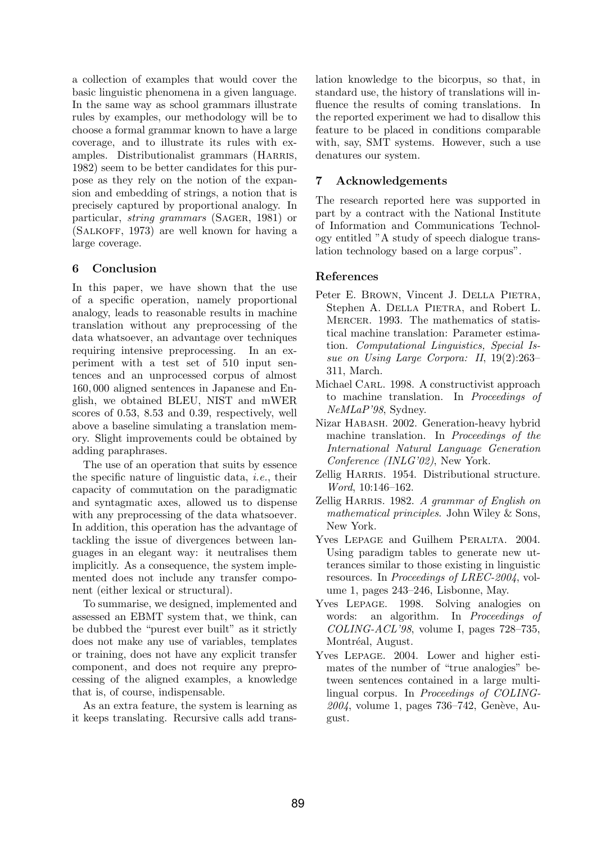a collection of examples that would cover the basic linguistic phenomena in a given language. In the same way as school grammars illustrate rules by examples, our methodology will be to choose a formal grammar known to have a large coverage, and to illustrate its rules with examples. Distributionalist grammars (HARRIS, 1982) seem to be better candidates for this purpose as they rely on the notion of the expansion and embedding of strings, a notion that is precisely captured by proportional analogy. In particular, string grammars (Sager, 1981) or (Salkoff, 1973) are well known for having a large coverage.

## 6 Conclusion

In this paper, we have shown that the use of a specific operation, namely proportional analogy, leads to reasonable results in machine translation without any preprocessing of the data whatsoever, an advantage over techniques requiring intensive preprocessing. In an experiment with a test set of 510 input sentences and an unprocessed corpus of almost 160, 000 aligned sentences in Japanese and English, we obtained BLEU, NIST and mWER scores of 0.53, 8.53 and 0.39, respectively, well above a baseline simulating a translation memory. Slight improvements could be obtained by adding paraphrases.

The use of an operation that suits by essence the specific nature of linguistic data, *i.e.*, their capacity of commutation on the paradigmatic and syntagmatic axes, allowed us to dispense with any preprocessing of the data whatsoever. In addition, this operation has the advantage of tackling the issue of divergences between languages in an elegant way: it neutralises them implicitly. As a consequence, the system implemented does not include any transfer component (either lexical or structural).

To summarise, we designed, implemented and assessed an EBMT system that, we think, can be dubbed the "purest ever built" as it strictly does not make any use of variables, templates or training, does not have any explicit transfer component, and does not require any preprocessing of the aligned examples, a knowledge that is, of course, indispensable.

As an extra feature, the system is learning as it keeps translating. Recursive calls add translation knowledge to the bicorpus, so that, in standard use, the history of translations will influence the results of coming translations. In the reported experiment we had to disallow this feature to be placed in conditions comparable with, say, SMT systems. However, such a use denatures our system.

## 7 Acknowledgements

The research reported here was supported in part by a contract with the National Institute of Information and Communications Technology entitled "A study of speech dialogue translation technology based on a large corpus".

## References

- Peter E. BROWN, Vincent J. DELLA PIETRA, Stephen A. DELLA PIETRA, and Robert L. Mercer. 1993. The mathematics of statistical machine translation: Parameter estimation. Computational Linguistics, Special Issue on Using Large Corpora: II, 19(2):263– 311, March.
- Michael CARL. 1998. A constructivist approach to machine translation. In Proceedings of NeMLaP'98, Sydney.
- Nizar Habash. 2002. Generation-heavy hybrid machine translation. In Proceedings of the International Natural Language Generation Conference (INLG'02), New York.
- Zellig HARRIS. 1954. Distributional structure. Word, 10:146–162.
- Zellig HARRIS. 1982. A grammar of English on mathematical principles. John Wiley & Sons, New York.
- Yves LEPAGE and Guilhem PERALTA. 2004. Using paradigm tables to generate new utterances similar to those existing in linguistic resources. In Proceedings of LREC-2004, volume 1, pages 243–246, Lisbonne, May.
- Yves Lepage. 1998. Solving analogies on words: an algorithm. In *Proceedings of* COLING-ACL'98, volume I, pages 728–735, Montréal, August.
- Yves Lepage. 2004. Lower and higher estimates of the number of "true analogies" between sentences contained in a large multilingual corpus. In Proceedings of COLING- $2004$ , volume 1, pages 736–742, Genève, August.